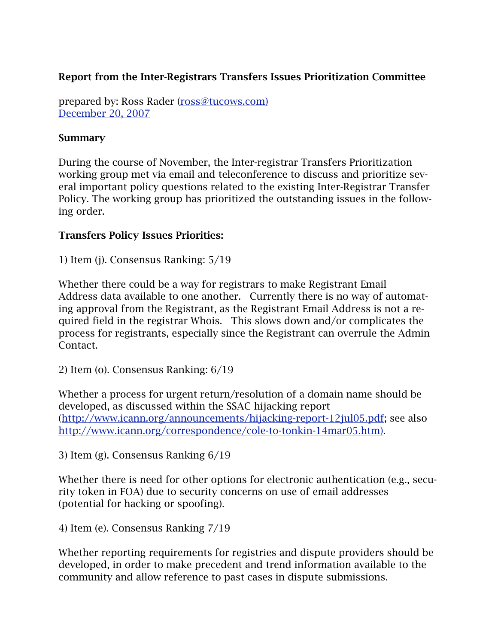## Report from the Inter-Registrars Transfers Issues Prioritization Committee

prepared by: Ross Rader ([ross@tucows.com\)](mailto:ross@tucows.com) [December 20, 2007](mailto:ross@tucows.com)

#### **Summary**

During the course of November, the Inter-registrar Transfers Prioritization working group met via email and teleconference to discuss and prioritize several important policy questions related to the existing Inter-Registrar Transfer Policy. The working group has prioritized the outstanding issues in the following order.

#### Transfers Policy Issues Priorities:

1) Item (j). Consensus Ranking: 5/19

Whether there could be a way for registrars to make Registrant Email Address data available to one another. Currently there is no way of automating approval from the Registrant, as the Registrant Email Address is not a required field in the registrar Whois. This slows down and/or complicates the process for registrants, especially since the Registrant can overrule the Admin Contact.

2) Item (o). Consensus Ranking: 6/19

Whether a process for urgent return/resolution of a domain name should be developed, as discussed within the SSAC hijacking report ([http://www.icann.org/announcements/hijacking-report-12jul05.pdf;](http://www.icann.org/announcements/hijacking-report-12jul05.pdf) see also [http://www.icann.org/correspondence/cole-to-tonkin-14mar05.htm\)](http://www.icann.org/correspondence/cole-to-tonkin-14mar05.htm)).

3) Item (g). Consensus Ranking 6/19

Whether there is need for other options for electronic authentication (e.g., security token in FOA) due to security concerns on use of email addresses (potential for hacking or spoofing).

4) Item (e). Consensus Ranking 7/19

Whether reporting requirements for registries and dispute providers should be developed, in order to make precedent and trend information available to the community and allow reference to past cases in dispute submissions.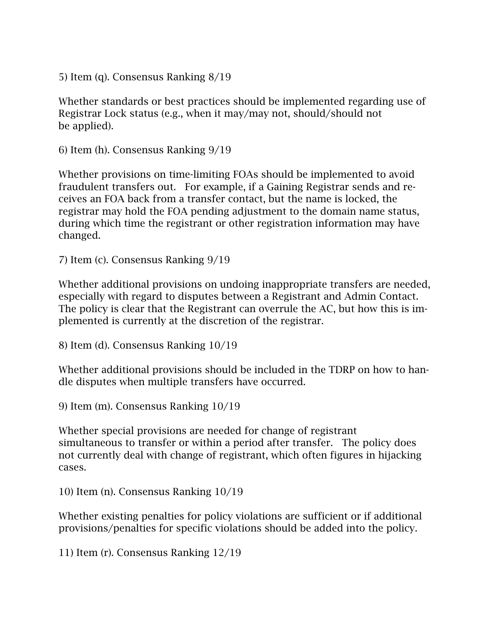5) Item (q). Consensus Ranking 8/19

Whether standards or best practices should be implemented regarding use of Registrar Lock status (e.g., when it may/may not, should/should not be applied).

6) Item (h). Consensus Ranking 9/19

Whether provisions on time-limiting FOAs should be implemented to avoid fraudulent transfers out. For example, if a Gaining Registrar sends and receives an FOA back from a transfer contact, but the name is locked, the registrar may hold the FOA pending adjustment to the domain name status, during which time the registrant or other registration information may have changed.

7) Item (c). Consensus Ranking 9/19

Whether additional provisions on undoing inappropriate transfers are needed, especially with regard to disputes between a Registrant and Admin Contact. The policy is clear that the Registrant can overrule the AC, but how this is implemented is currently at the discretion of the registrar.

8) Item (d). Consensus Ranking 10/19

Whether additional provisions should be included in the TDRP on how to handle disputes when multiple transfers have occurred.

9) Item (m). Consensus Ranking 10/19

Whether special provisions are needed for change of registrant simultaneous to transfer or within a period after transfer. The policy does not currently deal with change of registrant, which often figures in hijacking cases.

10) Item (n). Consensus Ranking 10/19

Whether existing penalties for policy violations are sufficient or if additional provisions/penalties for specific violations should be added into the policy.

11) Item (r). Consensus Ranking 12/19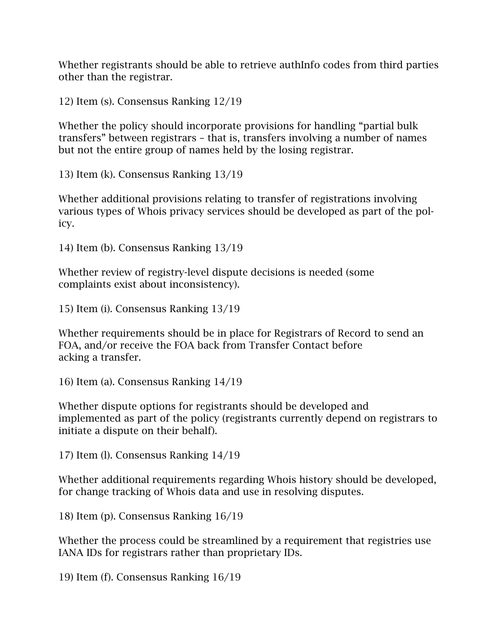Whether registrants should be able to retrieve authInfo codes from third parties other than the registrar.

12) Item (s). Consensus Ranking 12/19

Whether the policy should incorporate provisions for handling "partial bulk transfers" between registrars – that is, transfers involving a number of names but not the entire group of names held by the losing registrar.

13) Item (k). Consensus Ranking 13/19

Whether additional provisions relating to transfer of registrations involving various types of Whois privacy services should be developed as part of the policy.

14) Item (b). Consensus Ranking 13/19

Whether review of registry-level dispute decisions is needed (some complaints exist about inconsistency).

15) Item (i). Consensus Ranking 13/19

Whether requirements should be in place for Registrars of Record to send an FOA, and/or receive the FOA back from Transfer Contact before acking a transfer.

16) Item (a). Consensus Ranking 14/19

Whether dispute options for registrants should be developed and implemented as part of the policy (registrants currently depend on registrars to initiate a dispute on their behalf).

17) Item (l). Consensus Ranking 14/19

Whether additional requirements regarding Whois history should be developed, for change tracking of Whois data and use in resolving disputes.

18) Item (p). Consensus Ranking 16/19

Whether the process could be streamlined by a requirement that registries use IANA IDs for registrars rather than proprietary IDs.

19) Item (f). Consensus Ranking 16/19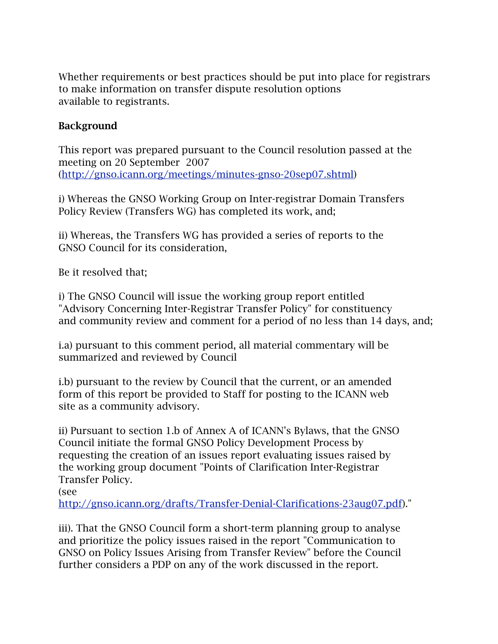Whether requirements or best practices should be put into place for registrars to make information on transfer dispute resolution options available to registrants.

### **Background**

This report was prepared pursuant to the Council resolution passed at the meeting on 20 September 2007 ([http://gnso.icann.org/meetings/minutes-gnso-20sep07.shtml\)](http://gnso.icann.org/meetings/minutes-gnso-20sep07.shtml)

i) Whereas the GNSO Working Group on Inter-registrar Domain Transfers Policy Review (Transfers WG) has completed its work, and;

ii) Whereas, the Transfers WG has provided a series of reports to the GNSO Council for its consideration,

Be it resolved that;

i) The GNSO Council will issue the working group report entitled "Advisory Concerning Inter-Registrar Transfer Policy" for constituency and community review and comment for a period of no less than 14 days, and;

i.a) pursuant to this comment period, all material commentary will be summarized and reviewed by Council

i.b) pursuant to the review by Council that the current, or an amended form of this report be provided to Staff for posting to the ICANN web site as a community advisory.

ii) Pursuant to section 1.b of Annex A of ICANN's Bylaws, that the GNSO Council initiate the formal GNSO Policy Development Process by requesting the creation of an issues report evaluating issues raised by the working group document "Points of Clarification Inter-Registrar Transfer Policy.

(see

[http://gnso.icann.org/drafts/Transfer-Denial-Clarifications-23aug07.pdf\)](http://gnso.icann.org/drafts/Transfer-Denial-Clarifications-23aug07.pdf)."

iii). That the GNSO Council form a short-term planning group to analyse and prioritize the policy issues raised in the report "Communication to GNSO on Policy Issues Arising from Transfer Review" before the Council further considers a PDP on any of the work discussed in the report.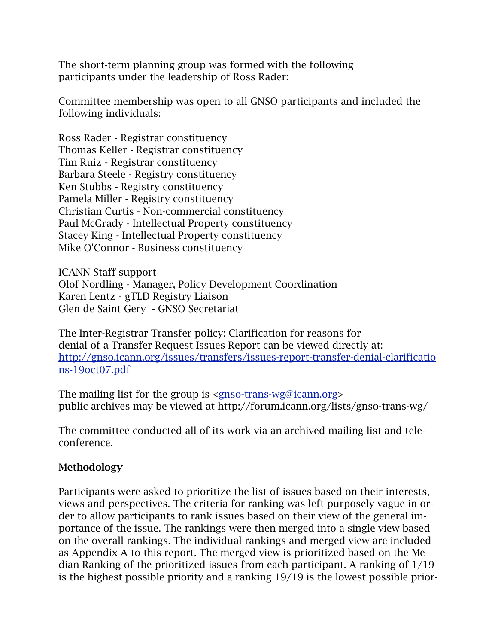The short-term planning group was formed with the following participants under the leadership of Ross Rader:

Committee membership was open to all GNSO participants and included the following individuals:

Ross Rader - Registrar constituency Thomas Keller - Registrar constituency Tim Ruiz - Registrar constituency Barbara Steele - Registry constituency Ken Stubbs - Registry constituency Pamela Miller - Registry constituency Christian Curtis - Non-commercial constituency Paul McGrady - Intellectual Property constituency Stacey King - Intellectual Property constituency Mike O'Connor - Business constituency

ICANN Staff support Olof Nordling - Manager, Policy Development Coordination Karen Lentz - gTLD Registry Liaison Glen de Saint Gery - GNSO Secretariat

The Inter-Registrar Transfer policy: Clarification for reasons for denial of a Transfer Request Issues Report can be viewed directly at: [http://gnso.icann.org/issues/transfers/issues-report-transfer-denial-clarificatio](http://gnso.icann.org/issues/transfers/issues-report-transfer-denial-clarifications-19oct07.pdf) [ns-19oct07.pdf](http://gnso.icann.org/issues/transfers/issues-report-transfer-denial-clarifications-19oct07.pdf)

The mailing list for the group is <[gnso-trans-wg@icann.org](mailto:gnso-trans-wg@icann.org)> public archives may be viewed at http://forum.icann.org/lists/gnso-trans-wg/

The committee conducted all of its work via an archived mailing list and teleconference.

### Methodology

Participants were asked to prioritize the list of issues based on their interests, views and perspectives. The criteria for ranking was left purposely vague in order to allow participants to rank issues based on their view of the general importance of the issue. The rankings were then merged into a single view based on the overall rankings. The individual rankings and merged view are included as Appendix A to this report. The merged view is prioritized based on the Median Ranking of the prioritized issues from each participant. A ranking of 1/19 is the highest possible priority and a ranking 19/19 is the lowest possible prior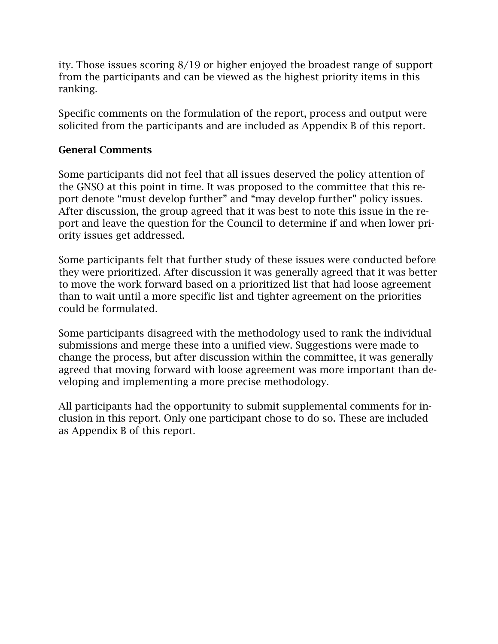ity. Those issues scoring 8/19 or higher enjoyed the broadest range of support from the participants and can be viewed as the highest priority items in this ranking.

Specific comments on the formulation of the report, process and output were solicited from the participants and are included as Appendix B of this report.

#### General Comments

Some participants did not feel that all issues deserved the policy attention of the GNSO at this point in time. It was proposed to the committee that this report denote "must develop further" and "may develop further" policy issues. After discussion, the group agreed that it was best to note this issue in the report and leave the question for the Council to determine if and when lower priority issues get addressed.

Some participants felt that further study of these issues were conducted before they were prioritized. After discussion it was generally agreed that it was better to move the work forward based on a prioritized list that had loose agreement than to wait until a more specific list and tighter agreement on the priorities could be formulated.

Some participants disagreed with the methodology used to rank the individual submissions and merge these into a unified view. Suggestions were made to change the process, but after discussion within the committee, it was generally agreed that moving forward with loose agreement was more important than developing and implementing a more precise methodology.

All participants had the opportunity to submit supplemental comments for inclusion in this report. Only one participant chose to do so. These are included as Appendix B of this report.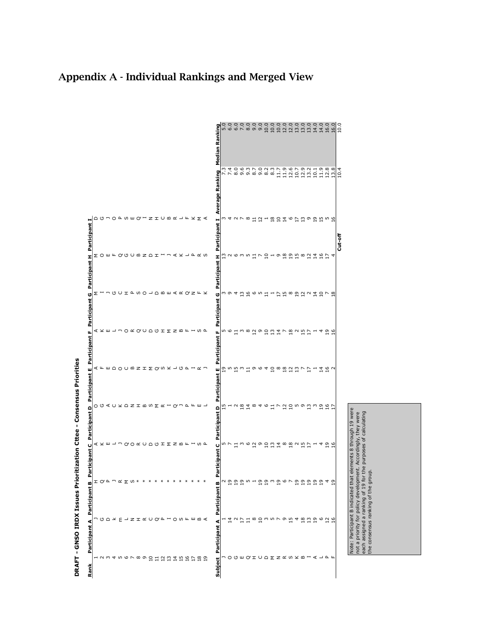

# Appendix A - Individual Rankings and Merged View